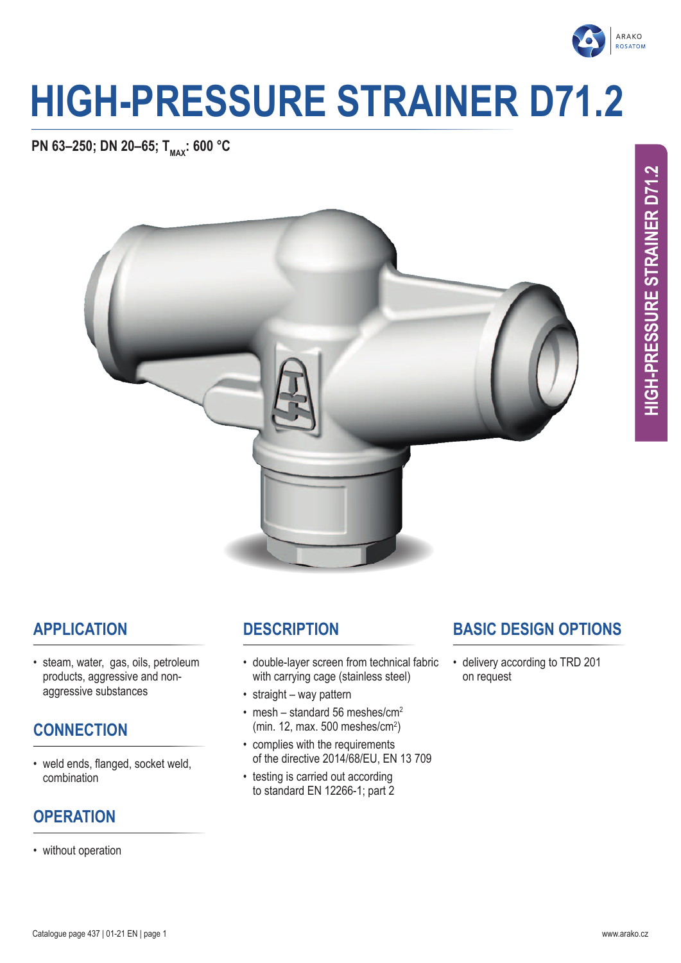

# **HIGH-PRESSURE STRAINER D71.2**

**PN 63-250; DN 20-65; T<sub>MAX</sub>: 600 °C** 



**HIGH-PRESSURE STRAINER D71.2**

HIGH-PRESSURE STRAINER D71.2

# **APPLICATION**

• steam, water, gas, oils, petroleum products, aggressive and nonaggressive substances

# **CONNECTION**

• weld ends, flanged, socket weld, combination

# **OPERATION**

• without operation

# **DESCRIPTION**

- double-layer screen from technical fabric with carrying cage (stainless steel)
- straight way pattern
- mesh standard 56 meshes/ $cm<sup>2</sup>$ (min. 12, max. 500 meshes/cm<sup>2</sup> )
- complies with the requirements of the directive 2014/68/EU, EN 13 709
- testing is carried out according to standard EN 12266-1; part 2

# **BASIC DESIGN OPTIONS**

• delivery according to TRD 201 on request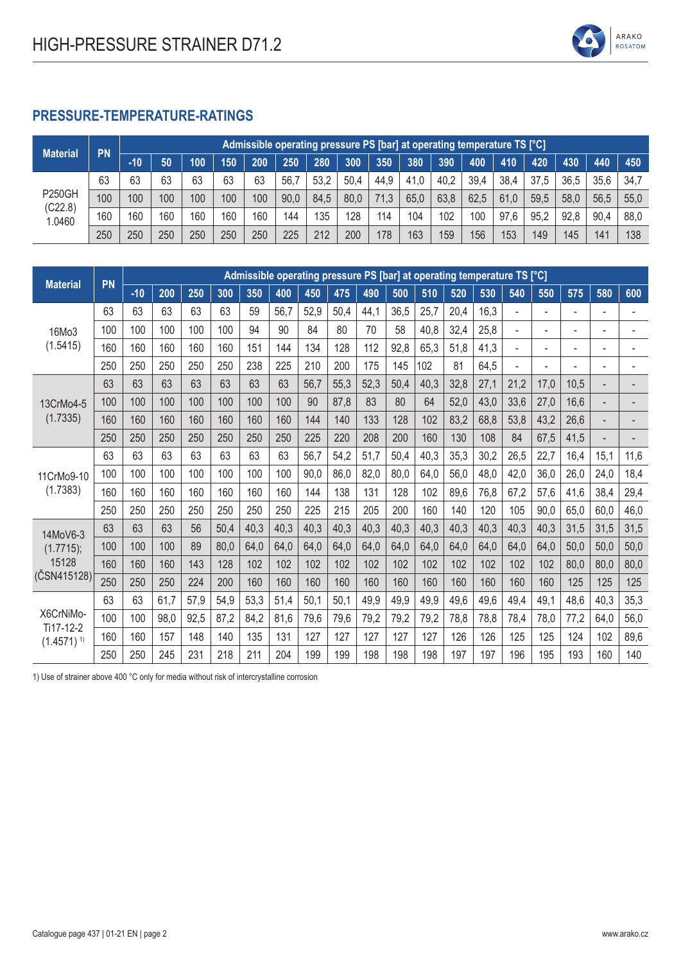

#### **PRESSURE-TEMPERATURE-RATINGS**

| <b>Material</b>   | <b>PN</b> |       | Admissible operating pressure PS [bar] at operating temperature TS [°C] |     |     |     |      |      |      |      |      |      |      |      |      |      |      |      |
|-------------------|-----------|-------|-------------------------------------------------------------------------|-----|-----|-----|------|------|------|------|------|------|------|------|------|------|------|------|
|                   |           | $-10$ | 50                                                                      | 100 | 150 | 200 | 250  | 280  | 300  | 350  | 380  | 390  | 400  | 410  | 420  | 430  | 440  | 450  |
| <b>P250GH</b>     | 63        | 63    | 63                                                                      | 63  | 63  | 63  | 56.  | 53,2 | 50,4 | 44,9 | 41,0 | 40,2 | 39,4 | 38,4 | 37,5 | 36,5 | 35,6 | 34.7 |
|                   | 100       | 100   | 100                                                                     | 100 | 100 | 100 | 90,0 | 84.5 | 80,0 | 71,3 | 65,0 | 63,8 | 62,5 | 61,0 | 59,5 | 58,0 | 56.5 | 55,0 |
| (C22.8)<br>1.0460 | 160       | 160   | 160                                                                     | 160 | 160 | 160 | 144  | 135  | 128  | 114  | 104  | 102  | 100  | 97,6 | 95,2 | 92,8 | 90,4 | 88,0 |
|                   | 250       | 250   | 250                                                                     | 250 | 250 | 250 | 225  | 212  | 200  | 178  | 163  | 159  | 156  | 153  | 149  | 145  | 141  | 138  |

| <b>Material</b>                       | PN  |       |      |      |      |      |      |      |      |      |      | Admissible operating pressure PS [bar] at operating temperature TS [°C] |      |      |                |                          |      |                                                                                                                                                                                  |                          |
|---------------------------------------|-----|-------|------|------|------|------|------|------|------|------|------|-------------------------------------------------------------------------|------|------|----------------|--------------------------|------|----------------------------------------------------------------------------------------------------------------------------------------------------------------------------------|--------------------------|
|                                       |     | $-10$ | 200  | 250  | 300  | 350  | 400  | 450  | 475  | 490  | 500  | 510                                                                     | 520  | 530  | 540            | 550                      | 575  | 580                                                                                                                                                                              | 600                      |
|                                       | 63  | 63    | 63   | 63   | 63   | 59   | 56,7 | 52,9 | 50,4 | 44,1 | 36,5 | 25,7                                                                    | 20,4 | 16,3 | $\blacksquare$ | $\overline{\phantom{a}}$ | ٠    | $\overline{\phantom{a}}$<br>$\blacksquare$<br>$\overline{a}$<br>-<br>$\overline{a}$<br>15,1<br>24,0<br>38,4<br>60,0<br>31,5<br>50,0<br>80,0<br>125<br>40,3<br>64,0<br>102<br>160 |                          |
| 16Mo3                                 | 100 | 100   | 100  | 100  | 100  | 94   | 90   | 84   | 80   | 70   | 58   | 40,8                                                                    | 32,4 | 25,8 |                | $\overline{\phantom{a}}$ |      |                                                                                                                                                                                  | ٠                        |
| (1.5415)                              | 160 | 160   | 160  | 160  | 160  | 151  | 144  | 134  | 128  | 112  | 92,8 | 65,3                                                                    | 51,8 | 41,3 | $\blacksquare$ | $\blacksquare$           | ٠    |                                                                                                                                                                                  | ۰                        |
|                                       | 250 | 250   | 250  | 250  | 250  | 238  | 225  | 210  | 200  | 175  | 145  | 102                                                                     | 81   | 64,5 |                | $\overline{\phantom{a}}$ |      |                                                                                                                                                                                  |                          |
|                                       | 63  | 63    | 63   | 63   | 63   | 63   | 63   | 56,7 | 55,3 | 52,3 | 50,4 | 40,3                                                                    | 32,8 | 27,1 | 21,2           | 17,0                     | 10,5 |                                                                                                                                                                                  | $\overline{\phantom{0}}$ |
| 13CrMo4-5                             | 100 | 100   | 100  | 100  | 100  | 100  | 100  | 90   | 87,8 | 83   | 80   | 64                                                                      | 52,0 | 43,0 | 33,6           | 27,0                     | 16,6 |                                                                                                                                                                                  |                          |
| (1.7335)                              | 160 | 160   | 160  | 160  | 160  | 160  | 160  | 144  | 140  | 133  | 128  | 102                                                                     | 83,2 | 68,8 | 53,8           | 43,2                     | 26,6 |                                                                                                                                                                                  |                          |
|                                       | 250 | 250   | 250  | 250  | 250  | 250  | 250  | 225  | 220  | 208  | 200  | 160                                                                     | 130  | 108  | 84             | 67,5                     | 41,5 |                                                                                                                                                                                  |                          |
| 11CrMo9-10<br>(1.7383)                | 63  | 63    | 63   | 63   | 63   | 63   | 63   | 56,7 | 54,2 | 51,7 | 50,4 | 40,3                                                                    | 35,3 | 30,2 | 26,5           | 22,7                     | 16,4 |                                                                                                                                                                                  | 11,6                     |
|                                       | 100 | 100   | 100  | 100  | 100  | 100  | 100  | 90,0 | 86,0 | 82,0 | 80,0 | 64,0                                                                    | 56,0 | 48,0 | 42,0           | 36,0                     | 26,0 |                                                                                                                                                                                  | 18,4                     |
|                                       | 160 | 160   | 160  | 160  | 160  | 160  | 160  | 144  | 138  | 131  | 128  | 102                                                                     | 89,6 | 76,8 | 67,2           | 57,6                     | 41,6 |                                                                                                                                                                                  | 29,4                     |
|                                       | 250 | 250   | 250  | 250  | 250  | 250  | 250  | 225  | 215  | 205  | 200  | 160                                                                     | 140  | 120  | 105            | 90,0                     | 65,0 |                                                                                                                                                                                  | 46,0                     |
| 14MoV6-3                              | 63  | 63    | 63   | 56   | 50,4 | 40,3 | 40,3 | 40,3 | 40,3 | 40,3 | 40,3 | 40,3                                                                    | 40,3 | 40,3 | 40,3           | 40,3                     | 31,5 |                                                                                                                                                                                  | 31,5                     |
| (1.7715);                             | 100 | 100   | 100  | 89   | 80,0 | 64,0 | 64,0 | 64,0 | 64,0 | 64,0 | 64,0 | 64,0                                                                    | 64,0 | 64,0 | 64,0           | 64,0                     | 50,0 |                                                                                                                                                                                  | 50,0                     |
| 15128                                 | 160 | 160   | 160  | 143  | 128  | 102  | 102  | 102  | 102  | 102  | 102  | 102                                                                     | 102  | 102  | 102            | 102                      | 80,0 |                                                                                                                                                                                  | 80,0                     |
| (ČSN415128)                           | 250 | 250   | 250  | 224  | 200  | 160  | 160  | 160  | 160  | 160  | 160  | 160                                                                     | 160  | 160  | 160            | 160                      | 125  |                                                                                                                                                                                  | 125                      |
|                                       | 63  | 63    | 61,7 | 57,9 | 54,9 | 53,3 | 51,4 | 50,1 | 50,1 | 49,9 | 49,9 | 49,9                                                                    | 49,6 | 49,6 | 49,4           | 49,1                     | 48,6 |                                                                                                                                                                                  | 35,3                     |
| X6CrNiMo-                             | 100 | 100   | 98,0 | 92,5 | 87,2 | 84,2 | 81,6 | 79,6 | 79,6 | 79,2 | 79,2 | 79,2                                                                    | 78,8 | 78,8 | 78,4           | 78,0                     | 77,2 |                                                                                                                                                                                  | 56,0                     |
| Ti17-12-2<br>$(1.4571)$ <sup>1)</sup> | 160 | 160   | 157  | 148  | 140  | 135  | 131  | 127  | 127  | 127  | 127  | 127                                                                     | 126  | 126  | 125            | 125                      | 124  |                                                                                                                                                                                  | 89,6                     |
|                                       | 250 | 250   | 245  | 231  | 218  | 211  | 204  | 199  | 199  | 198  | 198  | 198                                                                     | 197  | 197  | 196            | 195                      | 193  |                                                                                                                                                                                  | 140                      |

1) Use of strainer above 400 °C only for media without risk of intercrystalline corrosion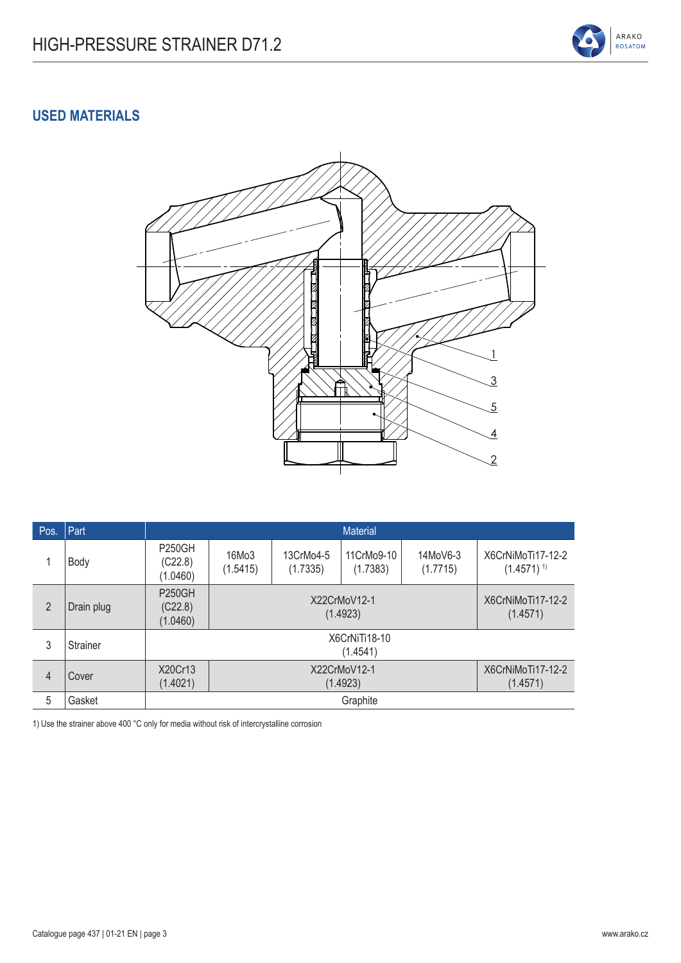

#### **USED MATERIALS**



| Pos.           | Part       |                                      |                   |                               | <b>Material</b>                                           |                      |                                     |  |  |  |
|----------------|------------|--------------------------------------|-------------------|-------------------------------|-----------------------------------------------------------|----------------------|-------------------------------------|--|--|--|
|                | Body       | <b>P250GH</b><br>(C22.8)<br>(1.0460) | 16Mo3<br>(1.5415) | 13CrMo4-5<br>(1.7335)         | 11CrMo9-10<br>(1.7383)                                    | 14MoV6-3<br>(1.7715) | X6CrNiMoTi17-12-2<br>$(1.4571)^{1}$ |  |  |  |
| $\overline{2}$ | Drain plug | <b>P250GH</b><br>(C22.8)<br>(1.0460) |                   |                               | X6CrNiMoTi17-12-2<br>X22CrMoV12-1<br>(1.4923)<br>(1.4571) |                      |                                     |  |  |  |
| 3              | Strainer   |                                      |                   |                               | X6CrNiTi18-10<br>(1.4541)                                 |                      |                                     |  |  |  |
| 4              | Cover      | X20Cr13<br>(1.4021)                  |                   | X6CrNiMoTi17-12-2<br>(1.4571) |                                                           |                      |                                     |  |  |  |
| 5              | Gasket     |                                      |                   |                               | Graphite                                                  |                      |                                     |  |  |  |

1) Use the strainer above 400 °C only for media without risk of intercrystalline corrosion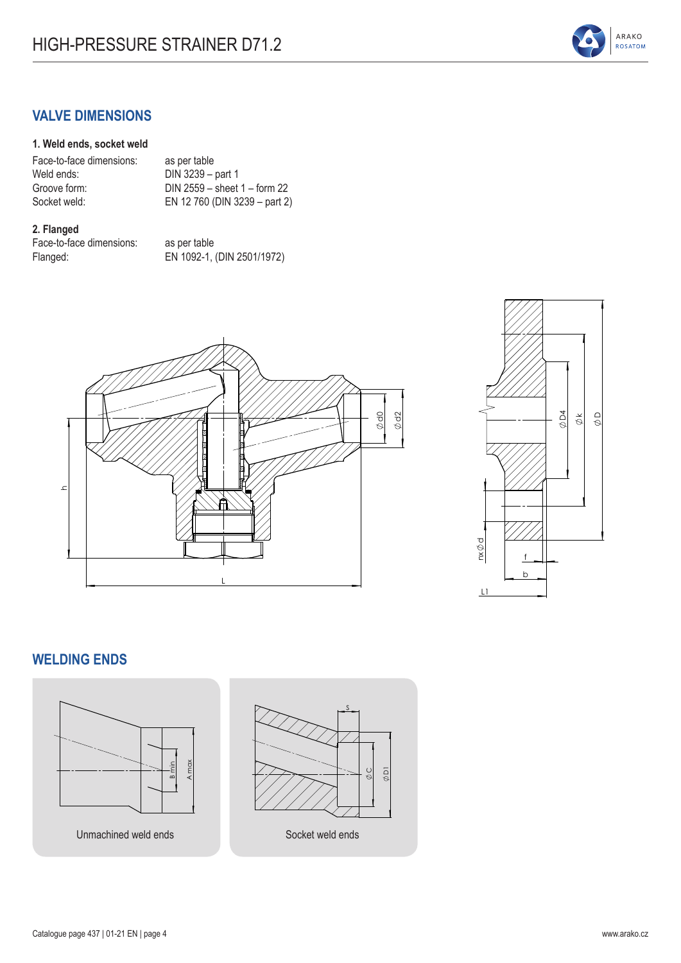

## **VALVE DIMENSIONS**

#### **1. Weld ends, socket weld**

| Face-to-face dimensions: | as per table                     |
|--------------------------|----------------------------------|
| Weld ends:               | DIN 3239 - part 1                |
| Groove form:             | DIN 2559 $-$ sheet 1 $-$ form 22 |
| Socket weld:             | EN 12 760 (DIN 3239 - part 2)    |
|                          |                                  |

#### **2. Flanged**

Face-to-face dimensions: as per table Flanged: EN 1092-1, (DIN 2501/1972)





#### **WELDING ENDS**



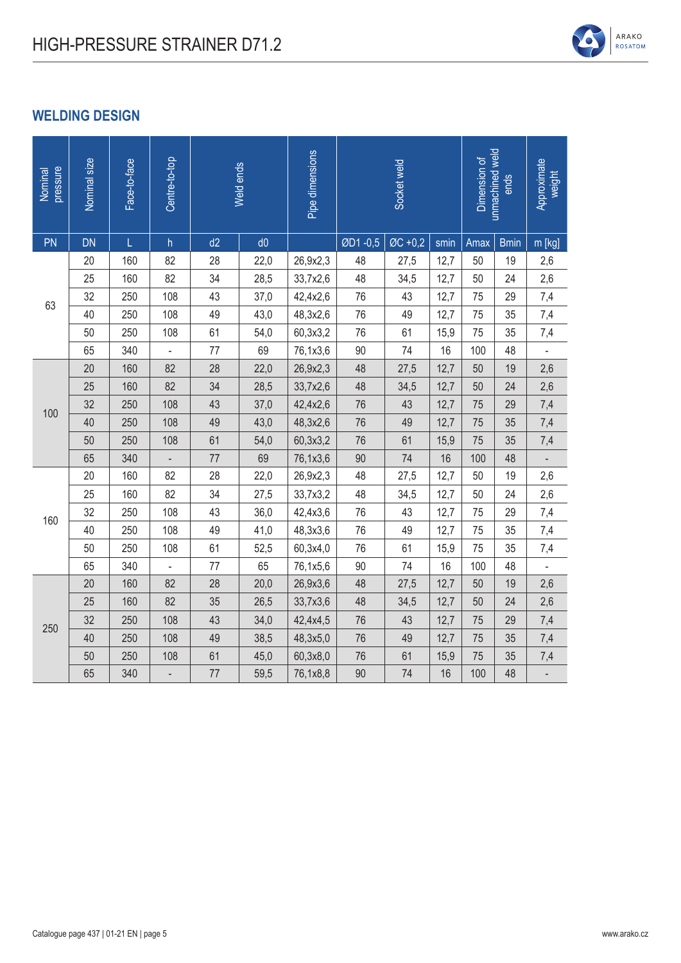## **WELDING DESIGN**

| pressure<br>Nominal | Nominal size | Face-to-face | Centre-to-top             |      | Weld ends | Pipe dimensions | Socket weld |         |      | unmachined weld<br>Dimension of | Approximate<br>weight |          |
|---------------------|--------------|--------------|---------------------------|------|-----------|-----------------|-------------|---------|------|---------------------------------|-----------------------|----------|
| PN                  | <b>DN</b>    | Ĺ            | $\boldsymbol{\mathsf{h}}$ | d2   | d0        |                 | ØD1-0,5     | ØC +0,2 | smin | Amax                            | <b>Bmin</b>           | $m$ [kg] |
|                     | 20           | 160          | 82                        | 28   | 22,0      | 26,9x2,3        | 48          | 27,5    | 12,7 | 50                              | 19                    | 2,6      |
|                     | 25           | 160          | 82                        | 34   | 28,5      | 33,7x2,6        | 48          | 34,5    | 12,7 | 50                              | 24                    | 2,6      |
| 63                  | 32           | 250          | 108                       | 43   | 37,0      | 42,4x2,6        | 76          | 43      | 12,7 | 75                              | 29                    | 7,4      |
|                     | 40           | 250          | 108                       | 49   | 43,0      | 48,3x2,6        | 76          | 49      | 12,7 | 75                              | 35                    | 7,4      |
|                     | 50           | 250          | 108                       | 61   | 54,0      | 60,3x3,2        | 76          | 61      | 15,9 | 75                              | 35                    | 7,4      |
|                     | 65           | 340          |                           | 77   | 69        | 76,1x3,6        | 90          | 74      | 16   | 100                             | 48                    |          |
|                     | 20           | 160          | 82                        | 28   | 22,0      | 26,9x2,3        | 48          | 27,5    | 12,7 | 50                              | 19                    | 2,6      |
|                     | 25           | 160          | 82                        | 34   | 28,5      | 33,7x2,6        | 48          | 34,5    | 12,7 | 50                              | 24                    | 2,6      |
| 100                 | 32           | 250          | 108                       | 43   | 37,0      | 42,4x2,6        | 76          | 43      | 12,7 | 75                              | 29                    | 7,4      |
|                     | 40           | 250          | 108                       | 49   | 43,0      | 48,3x2,6        | 76          | 49      | 12,7 | 75                              | 35                    | 7,4      |
|                     | 50           | 250          | 108                       | 61   | 54,0      | 60,3x3,2        | 76          | 61      | 15,9 | 75                              | 35                    | 7,4      |
|                     | 65           | 340          |                           | $77$ | 69        | 76,1x3,6        | $90\,$      | 74      | 16   | 100                             | 48                    |          |
|                     | 20           | 160          | 82                        | 28   | 22,0      | 26,9x2,3        | 48          | 27,5    | 12,7 | 50                              | 19                    | 2,6      |
|                     | 25           | 160          | 82                        | 34   | 27,5      | 33,7x3,2        | 48          | 34,5    | 12,7 | 50                              | 24                    | 2,6      |
| 160                 | 32           | 250          | 108                       | 43   | 36,0      | 42,4x3,6        | 76          | 43      | 12,7 | 75                              | 29                    | 7,4      |
|                     | 40           | 250          | 108                       | 49   | 41,0      | 48,3x3,6        | 76          | 49      | 12,7 | 75                              | 35                    | 7,4      |
|                     | 50           | 250          | 108                       | 61   | 52,5      | 60,3x4,0        | 76          | 61      | 15,9 | 75                              | 35                    | 7,4      |
|                     | 65           | 340          |                           | 77   | 65        | 76,1x5,6        | 90          | 74      | 16   | 100                             | 48                    |          |
|                     | 20           | 160          | 82                        | 28   | 20,0      | 26,9x3,6        | 48          | 27,5    | 12,7 | 50                              | 19                    | 2,6      |
|                     | 25           | 160          | 82                        | 35   | 26,5      | 33,7x3,6        | 48          | 34,5    | 12,7 | 50                              | 24                    | 2,6      |
| 250                 | 32           | 250          | 108                       | 43   | 34,0      | 42,4x4,5        | 76          | 43      | 12,7 | 75                              | 29                    | 7,4      |
|                     | 40           | 250          | 108                       | 49   | 38,5      | 48,3x5,0        | 76          | 49      | 12,7 | 75                              | 35                    | 7,4      |
|                     | 50           | 250          | 108                       | 61   | 45,0      | 60,3x8,0        | 76          | 61      | 15,9 | 75                              | 35                    | 7,4      |
|                     | 65           | 340          |                           | 77   | 59,5      | 76,1x8,8        | 90          | 74      | 16   | 100                             | 48                    |          |

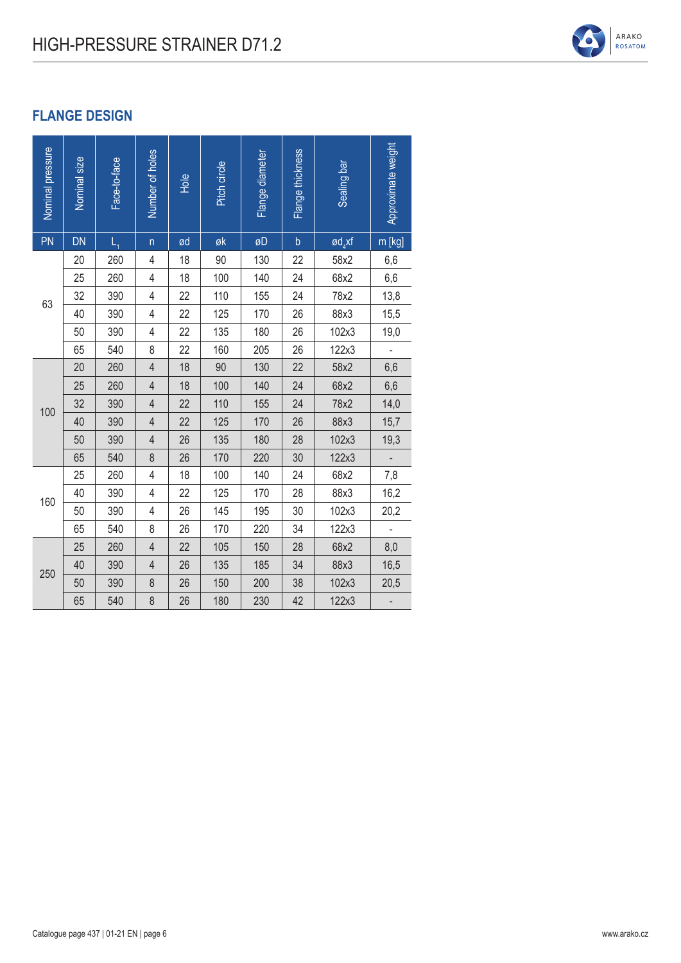### **FLANGE DESIGN**

| Nominal pressure | Nominal size | Face-to-face | Number of holes | Hole | Pitch circle | Flange diameter | Flange thickness | Sealing bar      | Approximate weight       |
|------------------|--------------|--------------|-----------------|------|--------------|-----------------|------------------|------------------|--------------------------|
| PN               | <b>DN</b>    | Ĺ,           | $\sf n$         | ød   | øk           | øD              | $\mathsf b$      | $\text{gd}_4$ xf | m [kg]                   |
|                  | 20           | 260          | 4               | 18   | 90           | 130             | 22               | 58x2             | 6,6                      |
|                  | 25           | 260          | 4               | 18   | 100          | 140             | 24               | 68x2             | 6,6                      |
| 63               | 32           | 390          | 4               | 22   | 110          | 155             | 24               | 78x2             | 13,8                     |
|                  | 40           | 390          | 4               | 22   | 125          | 170             | 26               | 88x3             | 15,5                     |
|                  | 50           | 390          | 4               | 22   | 135          | 180             | 26               | 102x3            | 19,0                     |
|                  | 65           | 540          | 8               | 22   | 160          | 205             | 26               | 122x3            | $\overline{\phantom{a}}$ |
|                  | 20           | 260          | $\overline{4}$  | 18   | 90           | 130             | 22               | 58x2             | 6,6                      |
|                  | 25           | 260          | $\overline{4}$  | 18   | 100          | 140             | 24               | 68x2             | 6,6                      |
| 100              | 32           | 390          | $\overline{4}$  | 22   | 110          | 155             | 24               | 78x2             | 14,0                     |
|                  | 40           | 390          | 4               | 22   | 125          | 170             | 26               | 88x3             | 15,7                     |
|                  | 50           | 390          | $\overline{4}$  | 26   | 135          | 180             | 28               | 102x3            | 19,3                     |
|                  | 65           | 540          | 8               | 26   | 170          | 220             | 30               | 122x3            |                          |
|                  | 25           | 260          | 4               | 18   | 100          | 140             | 24               | 68x2             | 7,8                      |
| 160              | 40           | 390          | 4               | 22   | 125          | 170             | 28               | 88x3             | 16,2                     |
|                  | 50           | 390          | 4               | 26   | 145          | 195             | 30               | 102x3            | 20,2                     |
|                  | 65           | 540          | 8               | 26   | 170          | 220             | 34               | 122x3            |                          |
|                  | 25           | 260          | $\overline{4}$  | 22   | 105          | 150             | 28               | 68x2             | 8,0                      |
| 250              | 40           | 390          | 4               | 26   | 135          | 185             | 34               | 88x3             | 16,5                     |
|                  | 50           | 390          | 8               | 26   | 150          | 200             | 38               | 102x3            | 20,5                     |
|                  | 65           | 540          | 8               | 26   | 180          | 230             | 42               | 122x3            |                          |